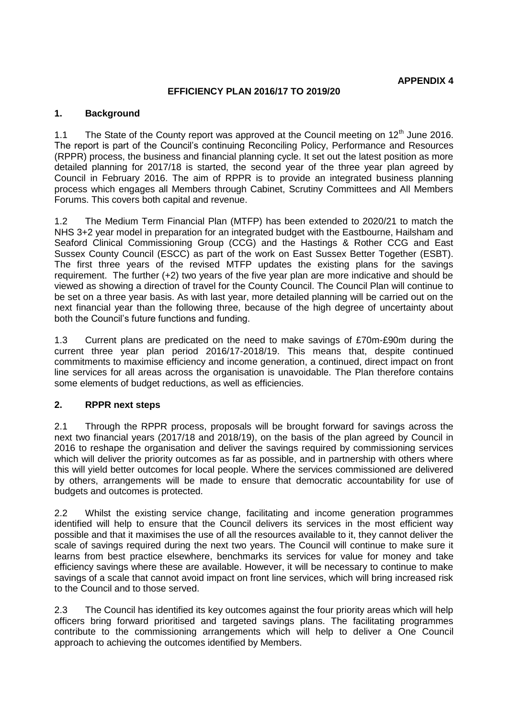#### **EFFICIENCY PLAN 2016/17 TO 2019/20**

#### **1. Background**

1.1 The State of the County report was approved at the Council meeting on  $12<sup>th</sup>$  June 2016. The report is part of the Council's continuing Reconciling Policy, Performance and Resources (RPPR) process, the business and financial planning cycle. It set out the latest position as more detailed planning for 2017/18 is started, the second year of the three year plan agreed by Council in February 2016. The aim of RPPR is to provide an integrated business planning process which engages all Members through Cabinet, Scrutiny Committees and All Members Forums. This covers both capital and revenue.

1.2 The Medium Term Financial Plan (MTFP) has been extended to 2020/21 to match the NHS 3+2 year model in preparation for an integrated budget with the Eastbourne, Hailsham and Seaford Clinical Commissioning Group (CCG) and the Hastings & Rother CCG and East Sussex County Council (ESCC) as part of the work on East Sussex Better Together (ESBT). The first three years of the revised MTFP updates the existing plans for the savings requirement. The further (+2) two years of the five year plan are more indicative and should be viewed as showing a direction of travel for the County Council. The Council Plan will continue to be set on a three year basis. As with last year, more detailed planning will be carried out on the next financial year than the following three, because of the high degree of uncertainty about both the Council's future functions and funding.

1.3 Current plans are predicated on the need to make savings of £70m-£90m during the current three year plan period 2016/17-2018/19. This means that, despite continued commitments to maximise efficiency and income generation, a continued, direct impact on front line services for all areas across the organisation is unavoidable. The Plan therefore contains some elements of budget reductions, as well as efficiencies.

### **2. RPPR next steps**

2.1 Through the RPPR process, proposals will be brought forward for savings across the next two financial years (2017/18 and 2018/19), on the basis of the plan agreed by Council in 2016 to reshape the organisation and deliver the savings required by commissioning services which will deliver the priority outcomes as far as possible, and in partnership with others where this will yield better outcomes for local people. Where the services commissioned are delivered by others, arrangements will be made to ensure that democratic accountability for use of budgets and outcomes is protected.

2.2 Whilst the existing service change, facilitating and income generation programmes identified will help to ensure that the Council delivers its services in the most efficient way possible and that it maximises the use of all the resources available to it, they cannot deliver the scale of savings required during the next two years. The Council will continue to make sure it learns from best practice elsewhere, benchmarks its services for value for money and take efficiency savings where these are available. However, it will be necessary to continue to make savings of a scale that cannot avoid impact on front line services, which will bring increased risk to the Council and to those served.

2.3 The Council has identified its key outcomes against the four priority areas which will help officers bring forward prioritised and targeted savings plans. The facilitating programmes contribute to the commissioning arrangements which will help to deliver a One Council approach to achieving the outcomes identified by Members.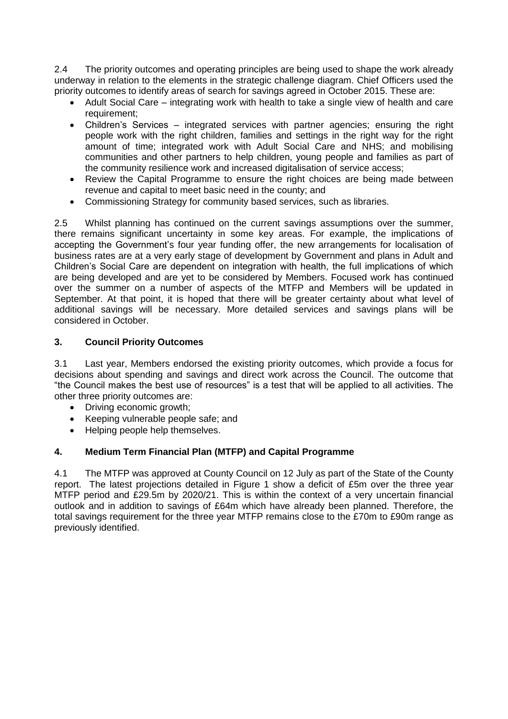2.4 The priority outcomes and operating principles are being used to shape the work already underway in relation to the elements in the strategic challenge diagram. Chief Officers used the priority outcomes to identify areas of search for savings agreed in October 2015. These are:

- Adult Social Care integrating work with health to take a single view of health and care requirement;
- Children's Services integrated services with partner agencies; ensuring the right people work with the right children, families and settings in the right way for the right amount of time; integrated work with Adult Social Care and NHS; and mobilising communities and other partners to help children, young people and families as part of the community resilience work and increased digitalisation of service access;
- Review the Capital Programme to ensure the right choices are being made between revenue and capital to meet basic need in the county; and
- Commissioning Strategy for community based services, such as libraries.

2.5 Whilst planning has continued on the current savings assumptions over the summer, there remains significant uncertainty in some key areas. For example, the implications of accepting the Government's four year funding offer, the new arrangements for localisation of business rates are at a very early stage of development by Government and plans in Adult and Children's Social Care are dependent on integration with health, the full implications of which are being developed and are yet to be considered by Members. Focused work has continued over the summer on a number of aspects of the MTFP and Members will be updated in September. At that point, it is hoped that there will be greater certainty about what level of additional savings will be necessary. More detailed services and savings plans will be considered in October.

# **3. Council Priority Outcomes**

3.1 Last year, Members endorsed the existing priority outcomes, which provide a focus for decisions about spending and savings and direct work across the Council. The outcome that "the Council makes the best use of resources" is a test that will be applied to all activities. The other three priority outcomes are:

- Driving economic growth;
- Keeping vulnerable people safe; and
- Helping people help themselves.

# **4. Medium Term Financial Plan (MTFP) and Capital Programme**

4.1 The MTFP was approved at County Council on 12 July as part of the State of the County report. The latest projections detailed in Figure 1 show a deficit of £5m over the three year MTFP period and £29.5m by 2020/21. This is within the context of a very uncertain financial outlook and in addition to savings of £64m which have already been planned. Therefore, the total savings requirement for the three year MTFP remains close to the £70m to £90m range as previously identified.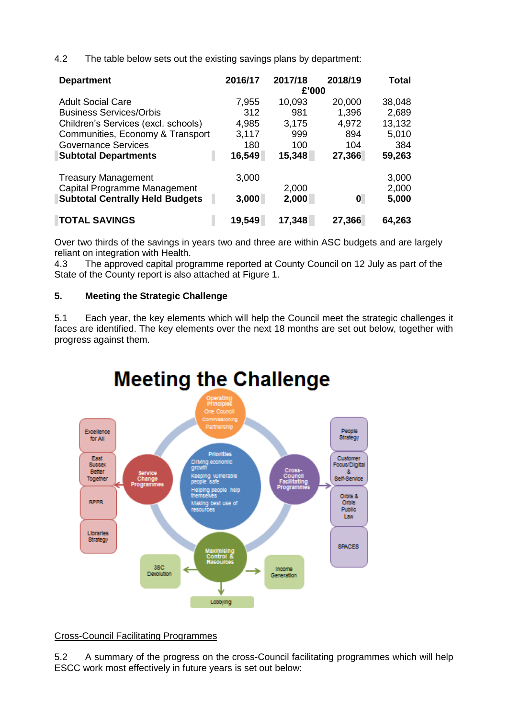4.2 The table below sets out the existing savings plans by department:

| <b>Department</b>                      | 2016/17 | 2017/18 | 2018/19 | Total  |  |  |  |  |
|----------------------------------------|---------|---------|---------|--------|--|--|--|--|
|                                        | £'000   |         |         |        |  |  |  |  |
| <b>Adult Social Care</b>               | 7,955   | 10,093  | 20,000  | 38,048 |  |  |  |  |
| <b>Business Services/Orbis</b>         | 312     | 981     | 1,396   | 2,689  |  |  |  |  |
| Children's Services (excl. schools)    | 4,985   | 3,175   | 4,972   | 13,132 |  |  |  |  |
| Communities, Economy & Transport       | 3,117   | 999     | 894     | 5,010  |  |  |  |  |
| <b>Governance Services</b>             | 180     | 100     | 104     | 384    |  |  |  |  |
| <b>Subtotal Departments</b>            | 16,549  | 15,348  | 27,366  | 59,263 |  |  |  |  |
| <b>Treasury Management</b>             | 3,000   |         |         | 3,000  |  |  |  |  |
| Capital Programme Management           |         | 2,000   |         | 2,000  |  |  |  |  |
| <b>Subtotal Centrally Held Budgets</b> | 3,000   | 2,000   | 0       | 5,000  |  |  |  |  |
| <b>TOTAL SAVINGS</b>                   | 19,549  | 17,348  | 27,366  | 64,263 |  |  |  |  |

Over two thirds of the savings in years two and three are within ASC budgets and are largely reliant on integration with Health.

4.3 The approved capital programme reported at County Council on 12 July as part of the State of the County report is also attached at Figure 1.

# **5. Meeting the Strategic Challenge**

5.1 Each year, the key elements which will help the Council meet the strategic challenges it faces are identified. The key elements over the next 18 months are set out below, together with progress against them.



### Cross-Council Facilitating Programmes

5.2 A summary of the progress on the cross-Council facilitating programmes which will help ESCC work most effectively in future years is set out below: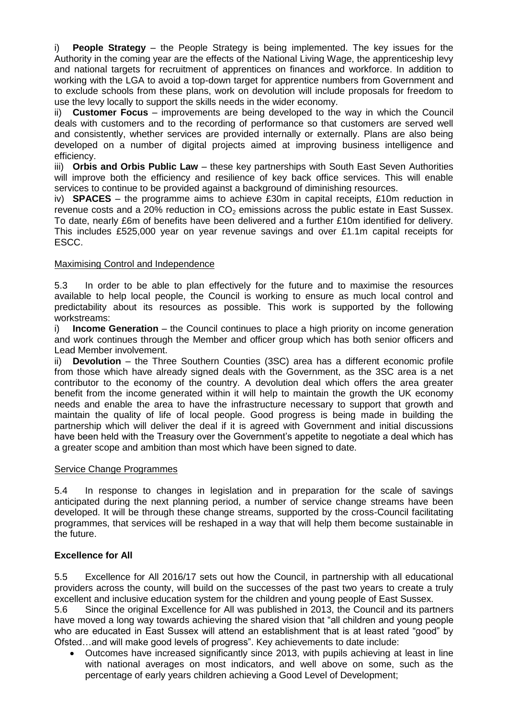i) **People Strategy** – the People Strategy is being implemented. The key issues for the Authority in the coming year are the effects of the National Living Wage, the apprenticeship levy and national targets for recruitment of apprentices on finances and workforce. In addition to working with the LGA to avoid a top-down target for apprentice numbers from Government and to exclude schools from these plans, work on devolution will include proposals for freedom to use the levy locally to support the skills needs in the wider economy.

ii) **Customer Focus** – improvements are being developed to the way in which the Council deals with customers and to the recording of performance so that customers are served well and consistently, whether services are provided internally or externally. Plans are also being developed on a number of digital projects aimed at improving business intelligence and efficiency.

iii) **Orbis and Orbis Public Law** – these key partnerships with South East Seven Authorities will improve both the efficiency and resilience of key back office services. This will enable services to continue to be provided against a background of diminishing resources.

iv) **SPACES** – the programme aims to achieve £30m in capital receipts, £10m reduction in revenue costs and a 20% reduction in  $CO<sub>2</sub>$  emissions across the public estate in East Sussex. To date, nearly £6m of benefits have been delivered and a further £10m identified for delivery. This includes £525,000 year on year revenue savings and over £1.1m capital receipts for ESCC.

### Maximising Control and Independence

5.3 In order to be able to plan effectively for the future and to maximise the resources available to help local people, the Council is working to ensure as much local control and predictability about its resources as possible. This work is supported by the following workstreams:

i) **Income Generation** – the Council continues to place a high priority on income generation and work continues through the Member and officer group which has both senior officers and Lead Member involvement.

ii) **Devolution** – the Three Southern Counties (3SC) area has a different economic profile from those which have already signed deals with the Government, as the 3SC area is a net contributor to the economy of the country. A devolution deal which offers the area greater benefit from the income generated within it will help to maintain the growth the UK economy needs and enable the area to have the infrastructure necessary to support that growth and maintain the quality of life of local people. Good progress is being made in building the partnership which will deliver the deal if it is agreed with Government and initial discussions have been held with the Treasury over the Government's appetite to negotiate a deal which has a greater scope and ambition than most which have been signed to date.

### Service Change Programmes

5.4 In response to changes in legislation and in preparation for the scale of savings anticipated during the next planning period, a number of service change streams have been developed. It will be through these change streams, supported by the cross-Council facilitating programmes, that services will be reshaped in a way that will help them become sustainable in the future.

### **Excellence for All**

5.5 Excellence for All 2016/17 sets out how the Council, in partnership with all educational providers across the county, will build on the successes of the past two years to create a truly excellent and inclusive education system for the children and young people of East Sussex.

5.6 Since the original Excellence for All was published in 2013, the Council and its partners have moved a long way towards achieving the shared vision that "all children and young people who are educated in East Sussex will attend an establishment that is at least rated "good" by Ofsted…and will make good levels of progress". Key achievements to date include:

 Outcomes have increased significantly since 2013, with pupils achieving at least in line with national averages on most indicators, and well above on some, such as the percentage of early years children achieving a Good Level of Development;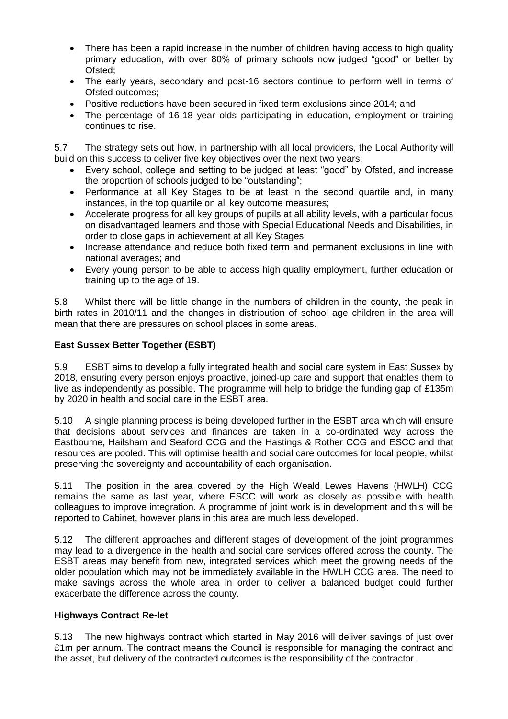- There has been a rapid increase in the number of children having access to high quality primary education, with over 80% of primary schools now judged "good" or better by Ofsted;
- The early years, secondary and post-16 sectors continue to perform well in terms of Ofsted outcomes;
- Positive reductions have been secured in fixed term exclusions since 2014; and
- The percentage of 16-18 year olds participating in education, employment or training continues to rise.

5.7 The strategy sets out how, in partnership with all local providers, the Local Authority will build on this success to deliver five key objectives over the next two years:

- Every school, college and setting to be judged at least "good" by Ofsted, and increase the proportion of schools judged to be "outstanding";
- Performance at all Key Stages to be at least in the second quartile and, in many instances, in the top quartile on all key outcome measures;
- Accelerate progress for all key groups of pupils at all ability levels, with a particular focus on disadvantaged learners and those with Special Educational Needs and Disabilities, in order to close gaps in achievement at all Key Stages;
- Increase attendance and reduce both fixed term and permanent exclusions in line with national averages; and
- Every young person to be able to access high quality employment, further education or training up to the age of 19.

5.8 Whilst there will be little change in the numbers of children in the county, the peak in birth rates in 2010/11 and the changes in distribution of school age children in the area will mean that there are pressures on school places in some areas.

### **East Sussex Better Together (ESBT)**

5.9 ESBT aims to develop a fully integrated health and social care system in East Sussex by 2018, ensuring every person enjoys proactive, joined-up care and support that enables them to live as independently as possible. The programme will help to bridge the funding gap of £135m by 2020 in health and social care in the ESBT area.

5.10 A single planning process is being developed further in the ESBT area which will ensure that decisions about services and finances are taken in a co-ordinated way across the Eastbourne, Hailsham and Seaford CCG and the Hastings & Rother CCG and ESCC and that resources are pooled. This will optimise health and social care outcomes for local people, whilst preserving the sovereignty and accountability of each organisation.

5.11 The position in the area covered by the High Weald Lewes Havens (HWLH) CCG remains the same as last year, where ESCC will work as closely as possible with health colleagues to improve integration. A programme of joint work is in development and this will be reported to Cabinet, however plans in this area are much less developed.

5.12 The different approaches and different stages of development of the joint programmes may lead to a divergence in the health and social care services offered across the county. The ESBT areas may benefit from new, integrated services which meet the growing needs of the older population which may not be immediately available in the HWLH CCG area. The need to make savings across the whole area in order to deliver a balanced budget could further exacerbate the difference across the county.

### **Highways Contract Re-let**

5.13 The new highways contract which started in May 2016 will deliver savings of just over £1m per annum. The contract means the Council is responsible for managing the contract and the asset, but delivery of the contracted outcomes is the responsibility of the contractor.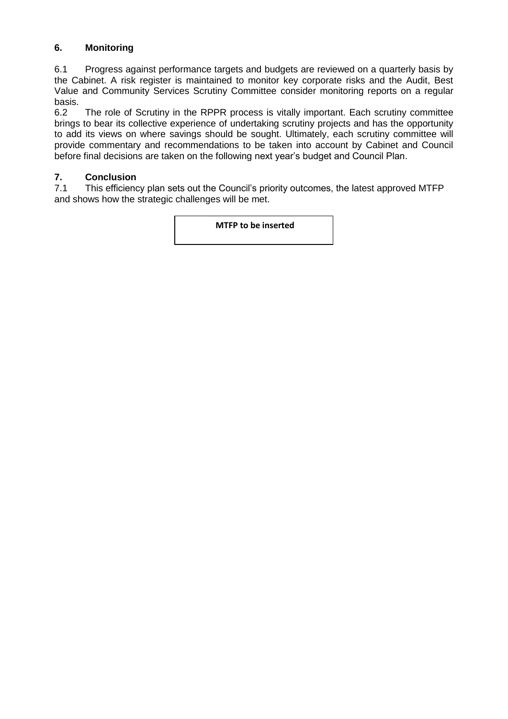# **6. Monitoring**

6.1 Progress against performance targets and budgets are reviewed on a quarterly basis by the Cabinet. A risk register is maintained to monitor key corporate risks and the Audit, Best Value and Community Services Scrutiny Committee consider monitoring reports on a regular basis.<br>6.2

The role of Scrutiny in the RPPR process is vitally important. Each scrutiny committee brings to bear its collective experience of undertaking scrutiny projects and has the opportunity to add its views on where savings should be sought. Ultimately, each scrutiny committee will provide commentary and recommendations to be taken into account by Cabinet and Council before final decisions are taken on the following next year's budget and Council Plan.

### **7. Conclusion**

7.1 This efficiency plan sets out the Council's priority outcomes, the latest approved MTFP and shows how the strategic challenges will be met.

**MTFP to be inserted**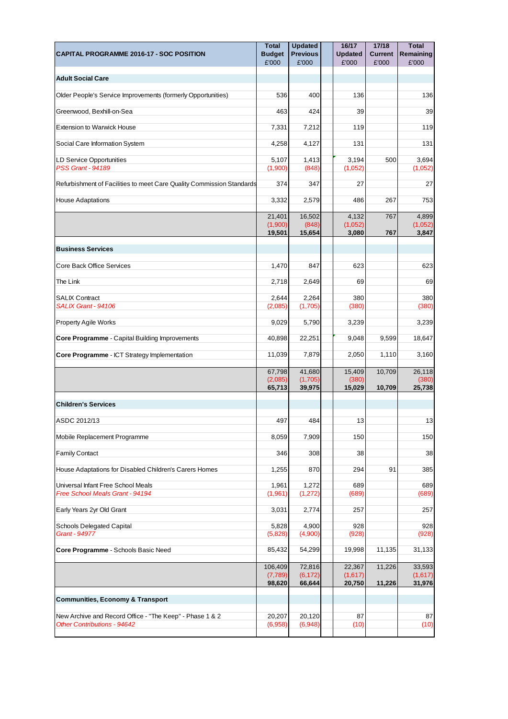|                                                                                                | <b>Total</b>                 | <b>Updated</b>               | 16/17                       | 17/18                   | <b>Total</b>                |
|------------------------------------------------------------------------------------------------|------------------------------|------------------------------|-----------------------------|-------------------------|-----------------------------|
| CAPITAL PROGRAMME 2016-17 - SOC POSITION                                                       | <b>Budget</b><br>£'000       | <b>Previous</b><br>£'000     | <b>Updated</b><br>£'000     | <b>Current</b><br>£'000 | Remaining<br>£'000          |
| <b>Adult Social Care</b>                                                                       |                              |                              |                             |                         |                             |
| Older People's Service Improvements (formerly Opportunities)                                   | 536                          | 400                          | 136                         |                         | 136                         |
| Greenwood, Bexhill-on-Sea                                                                      | 463                          | 424                          | 39                          |                         | 39                          |
| <b>Extension to Warwick House</b>                                                              | 7,331                        | 7,212                        | 119                         |                         | 119                         |
| Social Care Information System                                                                 | 4,258                        | 4,127                        | 131                         |                         | 131                         |
| <b>LD Service Opportunities</b><br><b>PSS Grant - 94189</b>                                    | 5,107<br>(1,900)             | 1,413<br>(848)               | 3,194<br>(1,052)            | 500                     | 3,694<br>(1,052)            |
| Refurbishment of Facilities to meet Care Quality Commission Standards                          | 374                          | 347                          | 27                          |                         | 27                          |
| <b>House Adaptations</b>                                                                       | 3,332                        | 2,579                        | 486                         | 267                     | 753                         |
|                                                                                                | 21,401<br>(1,900)<br>19,501  | 16,502<br>(848)<br>15,654    | 4,132<br>(1,052)<br>3,080   | 767<br>767              | 4,899<br>(1,052)<br>3,847   |
| <b>Business Services</b>                                                                       |                              |                              |                             |                         |                             |
| Core Back Office Services                                                                      | 1,470                        | 847                          | 623                         |                         | 623                         |
| The Link                                                                                       | 2,718                        | 2,649                        | 69                          |                         | 69                          |
| <b>SALIX Contract</b><br>SALIX Grant - 94106                                                   | 2,644<br>(2,085)             | 2,264<br>(1,705)             | 380<br>(380)                |                         | 380<br>(380)                |
| <b>Property Agile Works</b>                                                                    | 9,029                        | 5,790                        | 3,239                       |                         | 3,239                       |
| Core Programme - Capital Building Improvements                                                 | 40,898                       | 22,251                       | 9,048                       | 9,599                   | 18,647                      |
| Core Programme - ICT Strategy Implementation                                                   | 11,039                       | 7,879                        | 2,050                       | 1,110                   | 3,160                       |
|                                                                                                | 67,798<br>(2,085)<br>65,713  | 41,680<br>(1,705)<br>39,975  | 15,409<br>(380)<br>15,029   | 10,709<br>10.709        | 26,118<br>(380)<br>25,738   |
| <b>Children's Services</b>                                                                     |                              |                              |                             |                         |                             |
| ASDC 2012/13                                                                                   | 497                          | 484                          | 13                          |                         | 13                          |
| Mobile Replacement Programme                                                                   | 8,059                        | 7,909                        | 150                         |                         | 150                         |
| <b>Family Contact</b>                                                                          | 346                          | 308                          | 38                          |                         | 38                          |
| House Adaptations for Disabled Children's Carers Homes                                         | 1,255                        | 870                          | 294                         | 91                      | 385                         |
| Universal Infant Free School Meals<br>Free School Meals Grant - 94194                          | 1,961<br>(1,961)             | 1,272<br>(1,272)             | 689<br>(689)                |                         | 689<br>(689)                |
| Early Years 2yr Old Grant                                                                      | 3,031                        | 2,774                        | 257                         |                         | 257                         |
| <b>Schools Delegated Capital</b><br>Grant - 94977                                              | 5,828<br>(5,828)             | 4,900<br>(4,900)             | 928<br>(928)                |                         | 928<br>(928)                |
| Core Programme - Schools Basic Need                                                            | 85,432                       | 54,299                       | 19,998                      | 11,135                  | 31,133                      |
|                                                                                                | 106,409<br>(7,789)<br>98,620 | 72,816<br>(6, 172)<br>66,644 | 22,367<br>(1,617)<br>20,750 | 11,226<br>11,226        | 33,593<br>(1,617)<br>31,976 |
| <b>Communities, Economy &amp; Transport</b>                                                    |                              |                              |                             |                         |                             |
| New Archive and Record Office - "The Keep" - Phase 1 & 2<br><b>Other Contributions - 94642</b> | 20,207<br>(6,958)            | 20,120<br>(6,948)            | 87<br>(10)                  |                         | 87<br>(10)                  |
|                                                                                                |                              |                              |                             |                         |                             |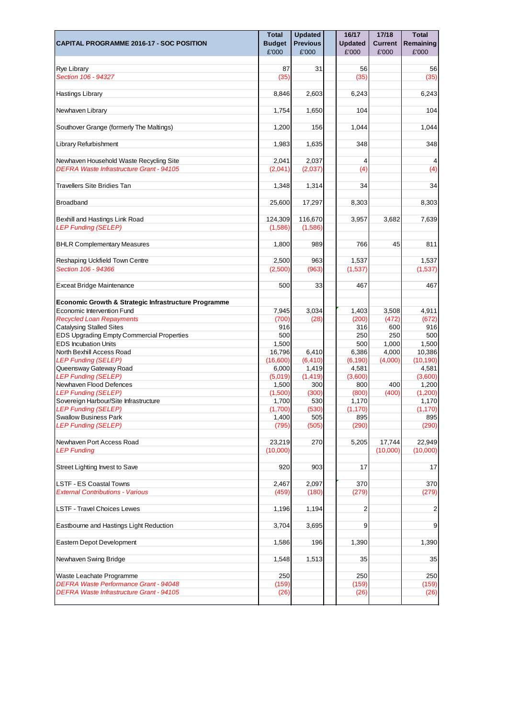|                                                       | <b>Total</b>     | <b>Updated</b>  | 16/17          | 17/18          | <b>Total</b>     |
|-------------------------------------------------------|------------------|-----------------|----------------|----------------|------------------|
| <b>CAPITAL PROGRAMME 2016-17 - SOC POSITION</b>       | <b>Budget</b>    | <b>Previous</b> | <b>Updated</b> | <b>Current</b> | Remaining        |
|                                                       | £'000            | £'000           | £'000          | £'000          | £'000            |
|                                                       |                  |                 |                |                |                  |
| Rye Library                                           | 87               | 31              | 56             |                | 56               |
| Section 106 - 94327                                   | (35)             |                 | (35)           |                | (35)             |
|                                                       |                  |                 |                |                |                  |
| Hastings Library                                      | 8,846            | 2,603           | 6,243          |                | 6,243            |
| Newhaven Library                                      | 1,754            | 1,650           | 104            |                | 104              |
|                                                       |                  |                 |                |                |                  |
| Southover Grange (formerly The Maltings)              | 1,200            | 156             | 1,044          |                | 1,044            |
|                                                       |                  |                 |                |                |                  |
| Library Refurbishment                                 | 1,983            | 1,635           | 348            |                | 348              |
|                                                       |                  |                 |                |                |                  |
| Newhaven Household Waste Recycling Site               | 2,041            | 2,037           | 4              |                | 4                |
| DEFRA Waste Infrastructure Grant - 94105              | (2,041)          | (2,037)         | (4)            |                | (4)              |
| <b>Travellers Site Bridies Tan</b>                    | 1,348            | 1,314           | 34             |                | 34               |
|                                                       |                  |                 |                |                |                  |
| <b>Broadband</b>                                      | 25,600           | 17,297          | 8,303          |                | 8,303            |
|                                                       |                  |                 |                |                |                  |
| Bexhill and Hastings Link Road                        | 124,309          | 116,670         | 3,957          | 3,682          | 7,639            |
| <b>LEP Funding (SELEP)</b>                            | (1,586)          | (1,586)         |                |                |                  |
|                                                       |                  |                 |                |                |                  |
| <b>BHLR Complementary Measures</b>                    | 1,800            | 989             | 766            | 45             | 811              |
|                                                       |                  |                 |                |                |                  |
| Reshaping Uckfield Town Centre                        | 2,500            | 963             | 1,537          |                | 1,537            |
| Section 106 - 94366                                   | (2,500)          | (963)           | (1,537)        |                | (1,537)          |
| Exceat Bridge Maintenance                             | 500              | 33              | 467            |                | 467              |
|                                                       |                  |                 |                |                |                  |
| Economic Growth & Strategic Infrastructure Programme  |                  |                 |                |                |                  |
| Economic Intervention Fund                            | 7,945            | 3,034           | 1,403          | 3,508          | 4,911            |
| <b>Recycled Loan Repayments</b>                       | (700)            | (28)            | (200)          | (472)          | (672)            |
| <b>Catalysing Stalled Sites</b>                       | 916              |                 | 316            | 600            | 916              |
| <b>EDS Upgrading Empty Commercial Properties</b>      | 500              |                 | 250            | 250            | 500              |
| <b>EDS Incubation Units</b>                           | 1,500            |                 | 500            | 1,000          | 1,500            |
| North Bexhill Access Road                             | 16,796           | 6,410           | 6,386          | 4,000          | 10,386           |
| <b>LEP Funding (SELEP)</b>                            | (16,600)         | (6, 410)        | (6, 190)       | (4,000)        | (10, 190)        |
| Queensway Gateway Road                                | 6,000            | 1,419           | 4,581          |                | 4,581            |
| <b>LEP Funding (SELEP)</b><br>Newhaven Flood Defences | (5,019)          | (1, 419)        | (3,600)        |                | (3,600)          |
| <b>LEP Funding (SELEP)</b>                            | 1,500<br>(1,500) | 300<br>(300)    | 800<br>(800)   | 400<br>(400)   | 1,200<br>(1,200) |
| Sovereign Harbour/Site Infrastructure                 | 1,700            | 530             | 1,170          |                | 1,170            |
| <b>LEP Funding (SELEP)</b>                            | (1,700)          | (530)           | (1, 170)       |                | (1, 170)         |
| <b>Swallow Business Park</b>                          | 1,400            | 505             | 895            |                | 895              |
| <b>LEP Funding (SELEP)</b>                            | (795)            | (505)           | (290)          |                | (290)            |
|                                                       |                  |                 |                |                |                  |
| Newhaven Port Access Road                             | 23,219           | 270             | 5,205          | 17,744         | 22,949           |
| <b>LEP Funding</b>                                    | (10,000)         |                 |                | (10,000)       | (10,000)         |
|                                                       |                  |                 |                |                |                  |
| Street Lighting Invest to Save                        | 920              | 903             | 17             |                | 17               |
| <b>LSTF - ES Coastal Towns</b>                        | 2,467            | 2,097           | 370            |                | 370              |
| <b>External Contributions - Various</b>               | (459)            | (180)           | (279)          |                | (279)            |
|                                                       |                  |                 |                |                |                  |
| <b>LSTF - Travel Choices Lewes</b>                    | 1,196            | 1,194           | $\overline{2}$ |                | $\overline{2}$   |
|                                                       |                  |                 |                |                |                  |
| Eastbourne and Hastings Light Reduction               | 3,704            | 3,695           | 9              |                | 9                |
|                                                       |                  |                 |                |                |                  |
| Eastern Depot Development                             | 1,586            | 196             | 1,390          |                | 1,390            |
|                                                       |                  |                 |                |                |                  |
| Newhaven Swing Bridge                                 | 1,548            | 1,513           | 35             |                | 35               |
| Waste Leachate Programme                              | 250              |                 | 250            |                | 250              |
| <b>DEFRA Waste Performance Grant - 94048</b>          | (159)            |                 | (159)          |                | (159)            |
| <b>DEFRA Waste Infrastructure Grant - 94105</b>       | (26)             |                 | (26)           |                | (26)             |
|                                                       |                  |                 |                |                |                  |